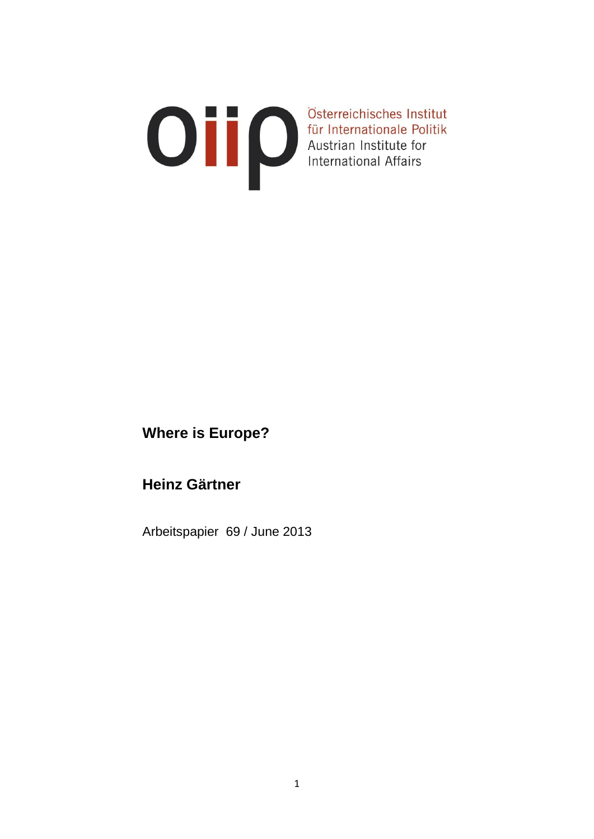# Osterreichisches Institut<br>für Internationale Politik<br>Austrian Institute for<br>International Affairs

# **Where is Europe?**

## **Heinz Gärtner**

Arbeitspapier 69 / June 2013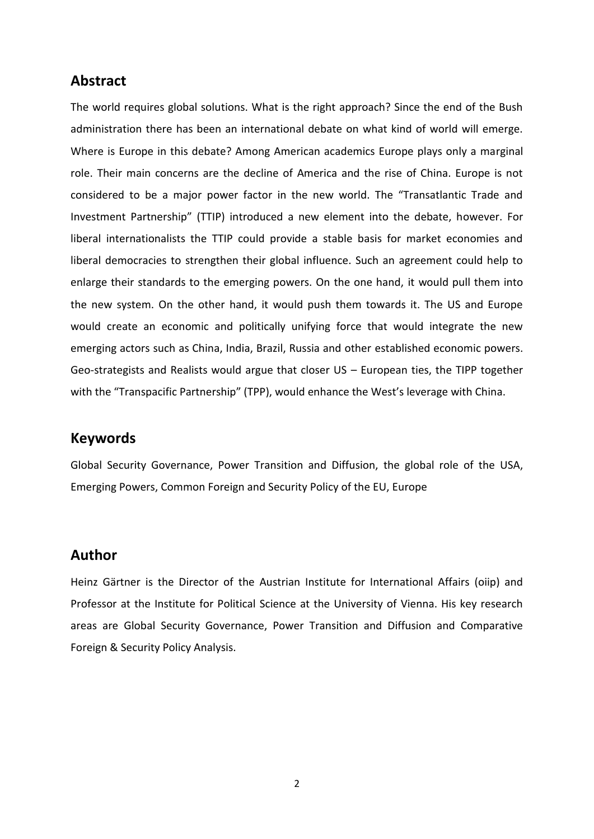#### **Abstract**

The world requires global solutions. What is the right approach? Since the end of the Bush administration there has been an international debate on what kind of world will emerge. Where is Europe in this debate? Among American academics Europe plays only a marginal role. Their main concerns are the decline of America and the rise of China. Europe is not considered to be a major power factor in the new world. The "Transatlantic Trade and Investment Partnership" (TTIP) introduced a new element into the debate, however. For liberal internationalists the TTIP could provide a stable basis for market economies and liberal democracies to strengthen their global influence. Such an agreement could help to enlarge their standards to the emerging powers. On the one hand, it would pull them into the new system. On the other hand, it would push them towards it. The US and Europe would create an economic and politically unifying force that would integrate the new emerging actors such as China, India, Brazil, Russia and other established economic powers. Geo-strategists and Realists would argue that closer US – European ties, the TIPP together with the "Transpacific Partnership" (TPP), would enhance the West's leverage with China.

#### **Keywords**

Global Security Governance, Power Transition and Diffusion, the global role of the USA, Emerging Powers, Common Foreign and Security Policy of the EU, Europe

#### **Author**

Heinz Gärtner is the Director of the Austrian Institute for International Affairs (oiip) and Professor at the Institute for Political Science at the University of Vienna. His key research areas are Global Security Governance, Power Transition and Diffusion and Comparative Foreign & Security Policy Analysis.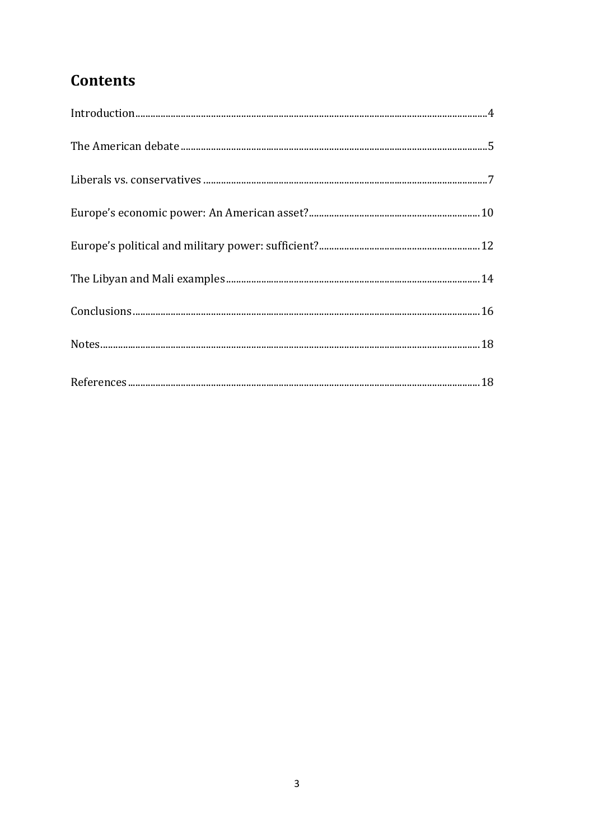# **Contents**

| $In traditional.\  \, \ldots\  \, \ldots\  \, \ldots\  \, \ldots\  \, \ldots\  \, \ldots\  \, \ldots\  \, \ldots\  \, \ldots\  \, \ldots\  \, \ldots\  \, \ldots\  \, \ldots\  \, \ldots\  \, \ldots\  \, \ldots\  \, \ldots\  \, \ldots\  \, \ldots\  \, \ldots\  \, \ldots\  \, \ldots\  \, \ldots\  \, \ldots\  \, \ldots\  \, \ldots\  \, \ldots\  \, \ldots\  \, \ldots\  \, \ldots\  \, \ldots\$ |
|--------------------------------------------------------------------------------------------------------------------------------------------------------------------------------------------------------------------------------------------------------------------------------------------------------------------------------------------------------------------------------------------------------|
|                                                                                                                                                                                                                                                                                                                                                                                                        |
|                                                                                                                                                                                                                                                                                                                                                                                                        |
|                                                                                                                                                                                                                                                                                                                                                                                                        |
|                                                                                                                                                                                                                                                                                                                                                                                                        |
|                                                                                                                                                                                                                                                                                                                                                                                                        |
|                                                                                                                                                                                                                                                                                                                                                                                                        |
|                                                                                                                                                                                                                                                                                                                                                                                                        |
|                                                                                                                                                                                                                                                                                                                                                                                                        |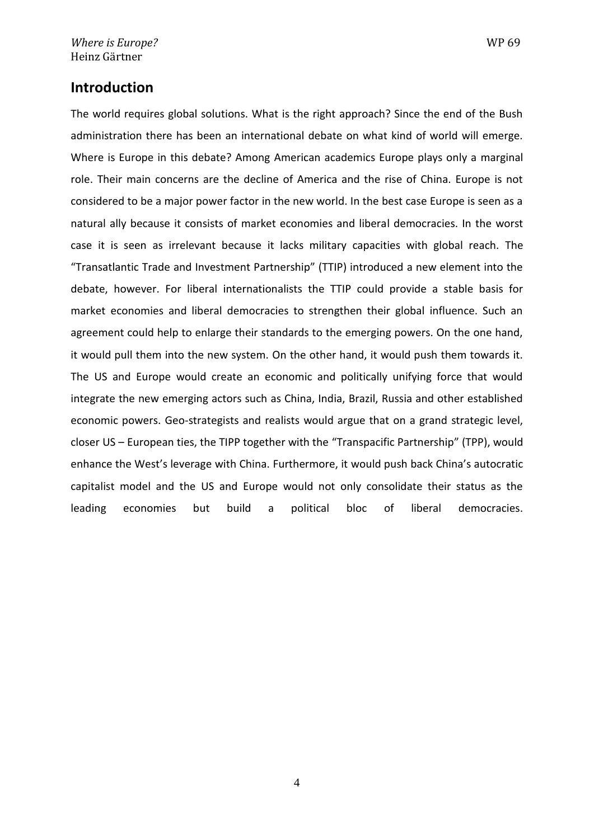#### **Introduction**

The world requires global solutions. What is the right approach? Since the end of the Bush administration there has been an international debate on what kind of world will emerge. Where is Europe in this debate? Among American academics Europe plays only a marginal role. Their main concerns are the decline of America and the rise of China. Europe is not considered to be a major power factor in the new world. In the best case Europe is seen as a natural ally because it consists of market economies and liberal democracies. In the worst case it is seen as irrelevant because it lacks military capacities with global reach. The "Transatlantic Trade and Investment Partnership" (TTIP) introduced a new element into the debate, however. For liberal internationalists the TTIP could provide a stable basis for market economies and liberal democracies to strengthen their global influence. Such an agreement could help to enlarge their standards to the emerging powers. On the one hand, it would pull them into the new system. On the other hand, it would push them towards it. The US and Europe would create an economic and politically unifying force that would integrate the new emerging actors such as China, India, Brazil, Russia and other established economic powers. Geo-strategists and realists would argue that on a grand strategic level, closer US – European ties, the TIPP together with the "Transpacific Partnership" (TPP), would enhance the West's leverage with China. Furthermore, it would push back China's autocratic capitalist model and the US and Europe would not only consolidate their status as the leading economies but build a political bloc of liberal democracies.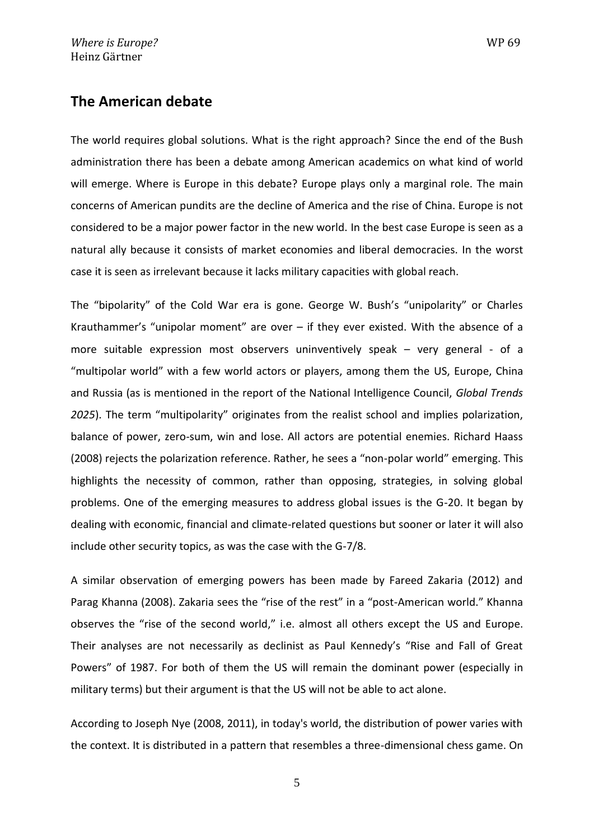#### **The American debate**

The world requires global solutions. What is the right approach? Since the end of the Bush administration there has been a debate among American academics on what kind of world will emerge. Where is Europe in this debate? Europe plays only a marginal role. The main concerns of American pundits are the decline of America and the rise of China. Europe is not considered to be a major power factor in the new world. In the best case Europe is seen as a natural ally because it consists of market economies and liberal democracies. In the worst case it is seen as irrelevant because it lacks military capacities with global reach.

The "bipolarity" of the Cold War era is gone. George W. Bush's "unipolarity" or Charles Krauthammer's "unipolar moment" are over  $-$  if they ever existed. With the absence of a more suitable expression most observers uninventively speak – very general - of a "multipolar world" with a few world actors or players, among them the US, Europe, China and Russia (as is mentioned in the report of the National Intelligence Council, *Global Trends 2025*). The term "multipolarity" originates from the realist school and implies polarization, balance of power, zero-sum, win and lose. All actors are potential enemies. Richard Haass (2008) rejects the polarization reference. Rather, he sees a "non-polar world" emerging. This highlights the necessity of common, rather than opposing, strategies, in solving global problems. One of the emerging measures to address global issues is the G-20. It began by dealing with economic, financial and climate-related questions but sooner or later it will also include other security topics, as was the case with the G-7/8.

A similar observation of emerging powers has been made by Fareed Zakaria (2012) and Parag Khanna (2008). Zakaria sees the "rise of the rest" in a "post-American world." Khanna observes the "rise of the second world," i.e. almost all others except the US and Europe. Their analyses are not necessarily as declinist as Paul Kennedy's "Rise and Fall of Great Powers" of 1987. For both of them the US will remain the dominant power (especially in military terms) but their argument is that the US will not be able to act alone.

According to Joseph Nye (2008, 2011), in today's world, the distribution of power varies with the context. It is distributed in a pattern that resembles a three-dimensional chess game. On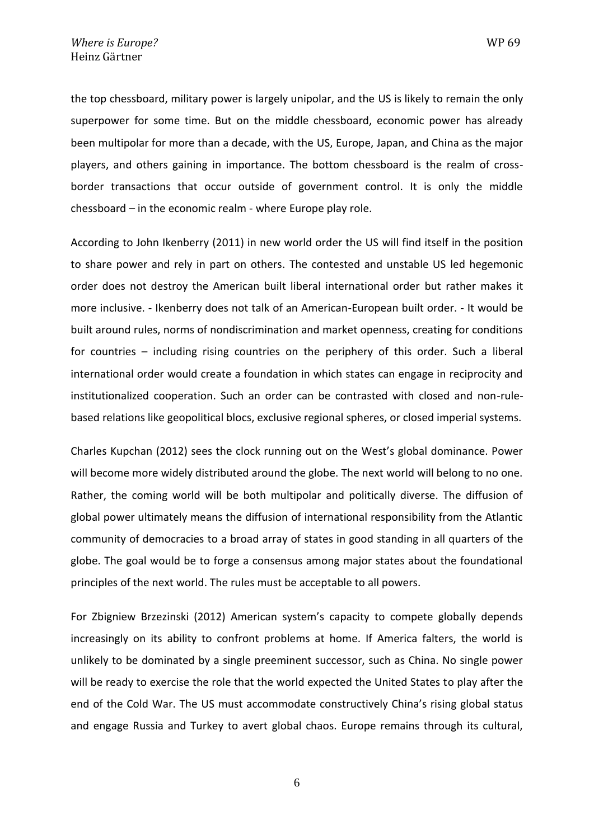the top chessboard, military power is largely unipolar, and the US is likely to remain the only superpower for some time. But on the middle chessboard, economic power has already been multipolar for more than a decade, with the US, Europe, Japan, and China as the major players, and others gaining in importance. The bottom chessboard is the realm of crossborder transactions that occur outside of government control. It is only the middle chessboard – in the economic realm - where Europe play role.

According to John Ikenberry (2011) in new world order the US will find itself in the position to share power and rely in part on others. The contested and unstable US led hegemonic order does not destroy the American built liberal international order but rather makes it more inclusive. - Ikenberry does not talk of an American-European built order. - It would be built around rules, norms of nondiscrimination and market openness, creating for conditions for countries – including rising countries on the periphery of this order. Such a liberal international order would create a foundation in which states can engage in reciprocity and institutionalized cooperation. Such an order can be contrasted with closed and non-rulebased relations like geopolitical blocs, exclusive regional spheres, or closed imperial systems.

Charles Kupchan (2012) sees the clock running out on the West's global dominance. Power will become more widely distributed around the globe. The next world will belong to no one. Rather, the coming world will be both multipolar and politically diverse. The diffusion of global power ultimately means the diffusion of international responsibility from the Atlantic community of democracies to a broad array of states in good standing in all quarters of the globe. The goal would be to forge a consensus among major states about the foundational principles of the next world. The rules must be acceptable to all powers.

For Zbigniew Brzezinski (2012) American system's capacity to compete globally depends increasingly on its ability to confront problems at home. If America falters, the world is unlikely to be dominated by a single preeminent successor, such as China. No single power will be ready to exercise the role that the world expected the United States to play after the end of the Cold War. The US must accommodate constructively China's rising global status and engage Russia and Turkey to avert global chaos. Europe remains through its cultural,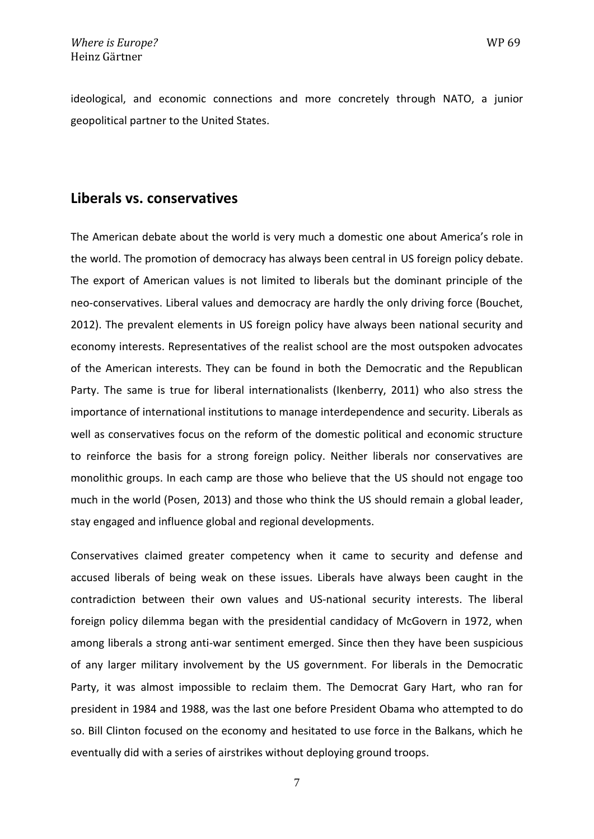ideological, and economic connections and more concretely through NATO, a junior geopolitical partner to the United States.

#### **Liberals vs. conservatives**

The American debate about the world is very much a domestic one about America's role in the world. The promotion of democracy has always been central in US foreign policy debate. The export of American values is not limited to liberals but the dominant principle of the neo-conservatives. Liberal values and democracy are hardly the only driving force (Bouchet, 2012). The prevalent elements in US foreign policy have always been national security and economy interests. Representatives of the realist school are the most outspoken advocates of the American interests. They can be found in both the Democratic and the Republican Party. The same is true for liberal internationalists (Ikenberry, 2011) who also stress the importance of international institutions to manage interdependence and security. Liberals as well as conservatives focus on the reform of the domestic political and economic structure to reinforce the basis for a strong foreign policy. Neither liberals nor conservatives are monolithic groups. In each camp are those who believe that the US should not engage too much in the world (Posen, 2013) and those who think the US should remain a global leader, stay engaged and influence global and regional developments.

Conservatives claimed greater competency when it came to security and defense and accused liberals of being weak on these issues. Liberals have always been caught in the contradiction between their own values and US-national security interests. The liberal foreign policy dilemma began with the presidential candidacy of McGovern in 1972, when among liberals a strong anti-war sentiment emerged. Since then they have been suspicious of any larger military involvement by the US government. For liberals in the Democratic Party, it was almost impossible to reclaim them. The Democrat Gary Hart, who ran for president in 1984 and 1988, was the last one before President Obama who attempted to do so. Bill Clinton focused on the economy and hesitated to use force in the Balkans, which he eventually did with a series of airstrikes without deploying ground troops.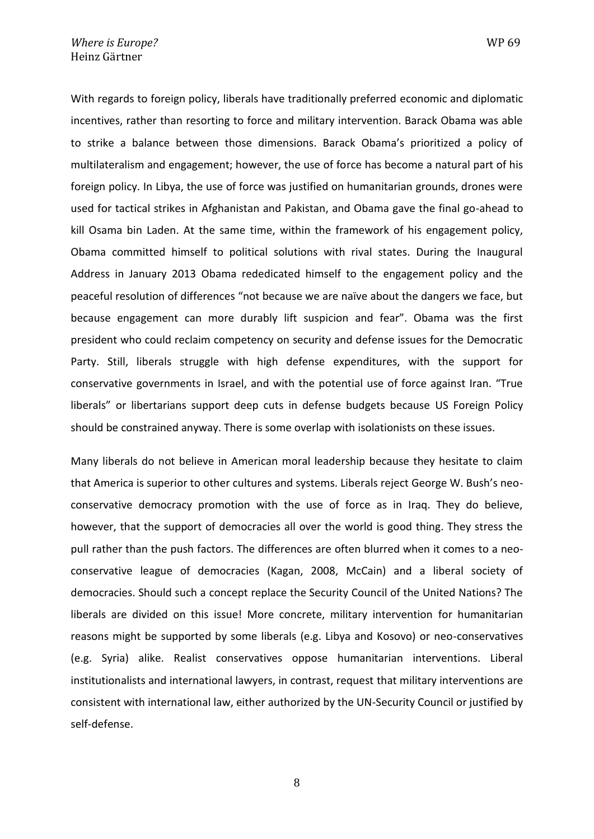With regards to foreign policy, liberals have traditionally preferred economic and diplomatic incentives, rather than resorting to force and military intervention. Barack Obama was able to strike a balance between those dimensions. Barack Obama's prioritized a policy of multilateralism and engagement; however, the use of force has become a natural part of his foreign policy. In Libya, the use of force was justified on humanitarian grounds, drones were used for tactical strikes in Afghanistan and Pakistan, and Obama gave the final go-ahead to kill Osama bin Laden. At the same time, within the framework of his engagement policy, Obama committed himself to political solutions with rival states. During the Inaugural Address in January 2013 Obama rededicated himself to the engagement policy and the peaceful resolution of differences "not because we are naïve about the dangers we face, but because engagement can more durably lift suspicion and fear". Obama was the first president who could reclaim competency on security and defense issues for the Democratic Party. Still, liberals struggle with high defense expenditures, with the support for conservative governments in Israel, and with the potential use of force against Iran. "True liberals" or libertarians support deep cuts in defense budgets because US Foreign Policy should be constrained anyway. There is some overlap with isolationists on these issues.

Many liberals do not believe in American moral leadership because they hesitate to claim that America is superior to other cultures and systems. Liberals reject George W. Bush's neoconservative democracy promotion with the use of force as in Iraq. They do believe, however, that the support of democracies all over the world is good thing. They stress the pull rather than the push factors. The differences are often blurred when it comes to a neoconservative league of democracies (Kagan, 2008, McCain) and a liberal society of democracies. Should such a concept replace the Security Council of the United Nations? The liberals are divided on this issue! More concrete, military intervention for humanitarian reasons might be supported by some liberals (e.g. Libya and Kosovo) or neo-conservatives (e.g. Syria) alike. Realist conservatives oppose humanitarian interventions. Liberal institutionalists and international lawyers, in contrast, request that military interventions are consistent with international law, either authorized by the UN-Security Council or justified by self-defense.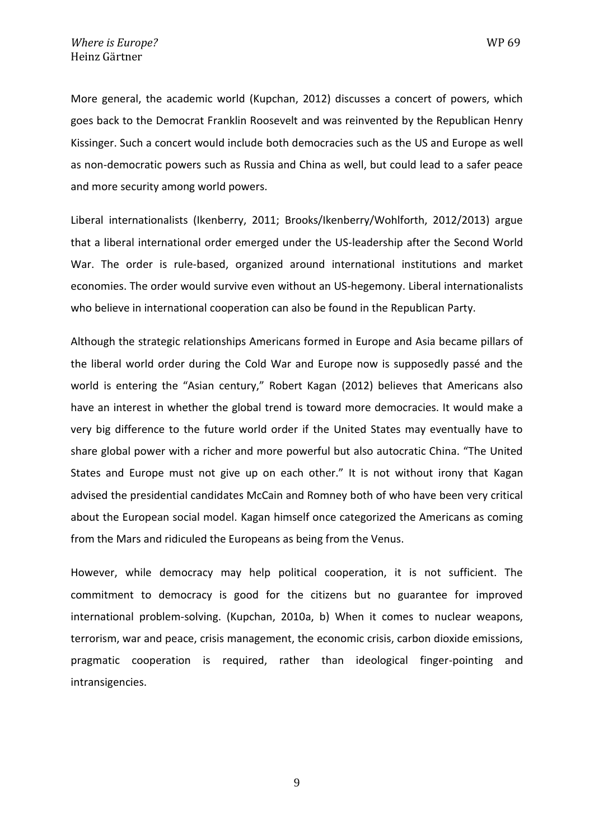More general, the academic world (Kupchan, 2012) discusses a concert of powers, which goes back to the Democrat Franklin Roosevelt and was reinvented by the Republican Henry Kissinger. Such a concert would include both democracies such as the US and Europe as well as non-democratic powers such as Russia and China as well, but could lead to a safer peace and more security among world powers.

Liberal internationalists (Ikenberry, 2011; Brooks/Ikenberry/Wohlforth, 2012/2013) argue that a liberal international order emerged under the US-leadership after the Second World War. The order is rule-based, organized around international institutions and market economies. The order would survive even without an US-hegemony. Liberal internationalists who believe in international cooperation can also be found in the Republican Party.

Although the strategic relationships Americans formed in Europe and Asia became pillars of the liberal world order during the Cold War and Europe now is supposedly passé and the world is entering the "Asian century," Robert Kagan (2012) believes that Americans also have an interest in whether the global trend is toward more democracies. It would make a very big difference to the future world order if the United States may eventually have to share global power with a richer and more powerful but also autocratic China. "The United States and Europe must not give up on each other." It is not without irony that Kagan advised the presidential candidates McCain and Romney both of who have been very critical about the European social model. Kagan himself once categorized the Americans as coming from the Mars and ridiculed the Europeans as being from the Venus.

However, while democracy may help political cooperation, it is not sufficient. The commitment to democracy is good for the citizens but no guarantee for improved international problem-solving. (Kupchan, 2010a, b) When it comes to nuclear weapons, terrorism, war and peace, crisis management, the economic crisis, carbon dioxide emissions, pragmatic cooperation is required, rather than ideological finger-pointing and intransigencies.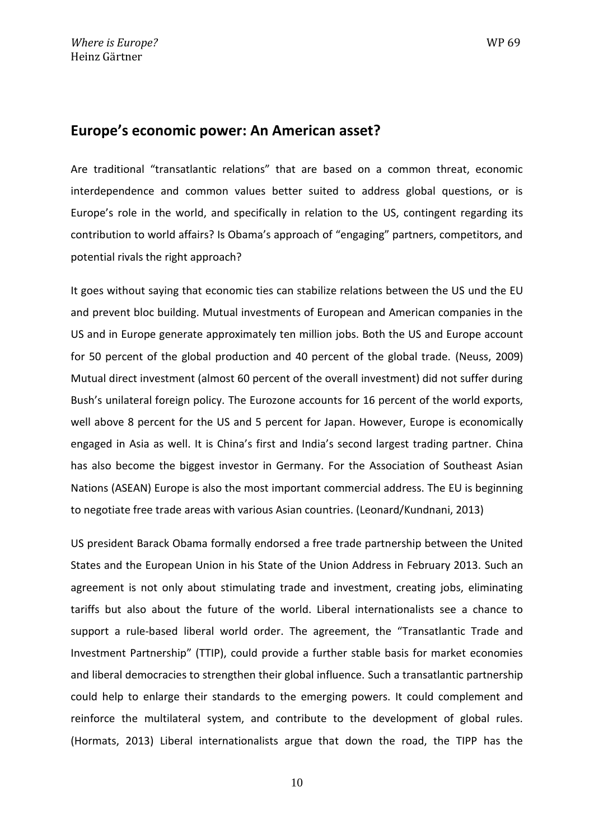### **Europe's economic power: An American asset?**

Are traditional "transatlantic relations" that are based on a common threat, economic interdependence and common values better suited to address global questions, or is Europe's role in the world, and specifically in relation to the US, contingent regarding its contribution to world affairs? Is Obama's approach of "engaging" partners, competitors, and potential rivals the right approach?

It goes without saying that economic ties can stabilize relations between the US und the EU and prevent bloc building. Mutual investments of European and American companies in the US and in Europe generate approximately ten million jobs. Both the US and Europe account for 50 percent of the global production and 40 percent of the global trade. (Neuss, 2009) Mutual direct investment (almost 60 percent of the overall investment) did not suffer during Bush's unilateral foreign policy. The Eurozone accounts for 16 percent of the world exports, well above 8 percent for the US and 5 percent for Japan. However, Europe is economically engaged in Asia as well. It is China's first and India's second largest trading partner. China has also become the biggest investor in Germany. For the Association of Southeast Asian Nations (ASEAN) Europe is also the most important commercial address. The EU is beginning to negotiate free trade areas with various Asian countries. (Leonard/Kundnani, 2013)

US president Barack Obama formally endorsed a free trade partnership between the United States and the European Union in his State of the Union Address in February 2013. Such an agreement is not only about stimulating trade and investment, creating jobs, eliminating tariffs but also about the future of the world. Liberal internationalists see a chance to support a rule-based liberal world order. The agreement, the "Transatlantic Trade and Investment Partnership" (TTIP), could provide a further stable basis for market economies and liberal democracies to strengthen their global influence. Such a transatlantic partnership could help to enlarge their standards to the emerging powers. It could complement and reinforce the multilateral system, and contribute to the development of global rules. (Hormats, 2013) Liberal internationalists argue that down the road, the TIPP has the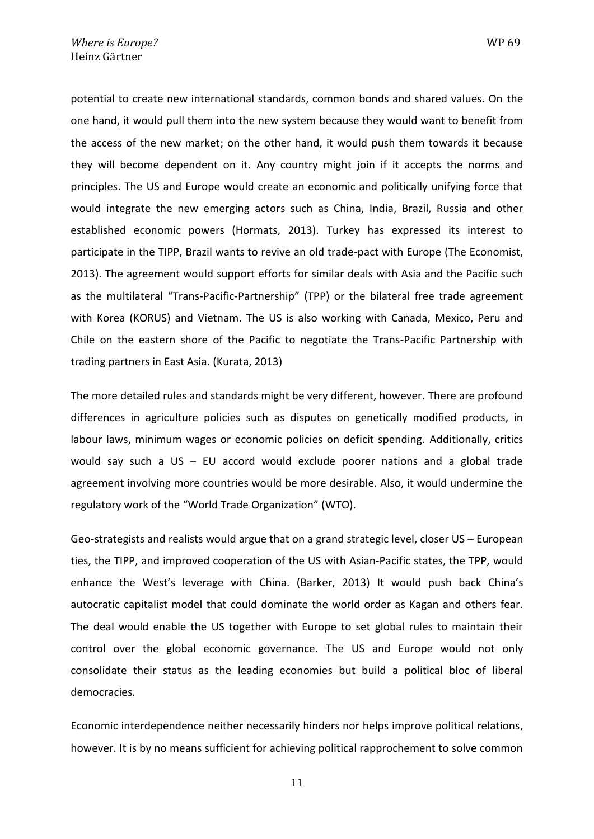potential to create new international standards, common bonds and shared values. On the one hand, it would pull them into the new system because they would want to benefit from the access of the new market; on the other hand, it would push them towards it because they will become dependent on it. Any country might join if it accepts the norms and principles. The US and Europe would create an economic and politically unifying force that would integrate the new emerging actors such as China, India, Brazil, Russia and other established economic powers (Hormats, 2013). Turkey has expressed its interest to participate in the TIPP, Brazil wants to revive an old trade-pact with Europe (The Economist, 2013). The agreement would support efforts for similar deals with Asia and the Pacific such as the multilateral "Trans-Pacific-Partnership" (TPP) or the bilateral free trade agreement with Korea (KORUS) and Vietnam. The US is also working with Canada, Mexico, Peru and Chile on the eastern shore of the Pacific to negotiate the Trans-Pacific Partnership with trading partners in East Asia. (Kurata, 2013)

The more detailed rules and standards might be very different, however. There are profound differences in agriculture policies such as disputes on genetically modified products, in labour laws, minimum wages or economic policies on deficit spending. Additionally, critics would say such a US – EU accord would exclude poorer nations and a global trade agreement involving more countries would be more desirable. Also, it would undermine the regulatory work of the "World Trade Organization" (WTO).

Geo-strategists and realists would argue that on a grand strategic level, closer US – European ties, the TIPP, and improved cooperation of the US with Asian-Pacific states, the TPP, would enhance the West's leverage with China. (Barker, 2013) It would push back China's autocratic capitalist model that could dominate the world order as Kagan and others fear. The deal would enable the US together with Europe to set global rules to maintain their control over the global economic governance. The US and Europe would not only consolidate their status as the leading economies but build a political bloc of liberal democracies.

Economic interdependence neither necessarily hinders nor helps improve political relations, however. It is by no means sufficient for achieving political rapprochement to solve common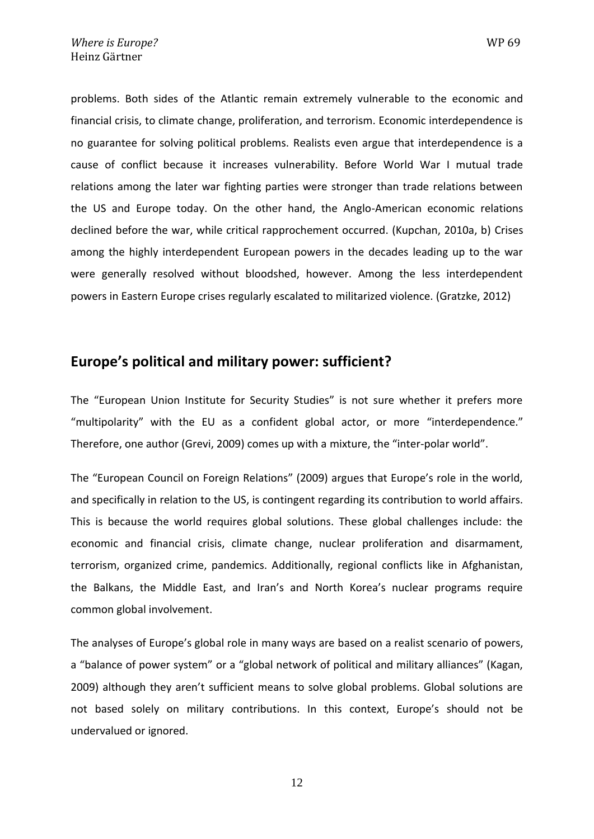problems. Both sides of the Atlantic remain extremely vulnerable to the economic and financial crisis, to climate change, proliferation, and terrorism. Economic interdependence is no guarantee for solving political problems. Realists even argue that interdependence is a cause of conflict because it increases vulnerability. Before World War I mutual trade relations among the later war fighting parties were stronger than trade relations between the US and Europe today. On the other hand, the Anglo-American economic relations declined before the war, while critical rapprochement occurred. (Kupchan, 2010a, b) Crises among the highly interdependent European powers in the decades leading up to the war were generally resolved without bloodshed, however. Among the less interdependent powers in Eastern Europe crises regularly escalated to militarized violence. (Gratzke, 2012)

#### **Europe's political and military power: sufficient?**

The "European Union Institute for Security Studies" is not sure whether it prefers more "multipolarity" with the EU as a confident global actor, or more "interdependence." Therefore, one author (Grevi, 2009) comes up with a mixture, the "inter-polar world".

The "European Council on Foreign Relations" (2009) argues that Europe's role in the world, and specifically in relation to the US, is contingent regarding its contribution to world affairs. This is because the world requires global solutions. These global challenges include: the economic and financial crisis, climate change, nuclear proliferation and disarmament, terrorism, organized crime, pandemics. Additionally, regional conflicts like in Afghanistan, the Balkans, the Middle East, and Iran's and North Korea's nuclear programs require common global involvement.

The analyses of Europe's global role in many ways are based on a realist scenario of powers, a "balance of power system" or a "global network of political and military alliances" (Kagan, 2009) although they aren't sufficient means to solve global problems. Global solutions are not based solely on military contributions. In this context, Europe's should not be undervalued or ignored.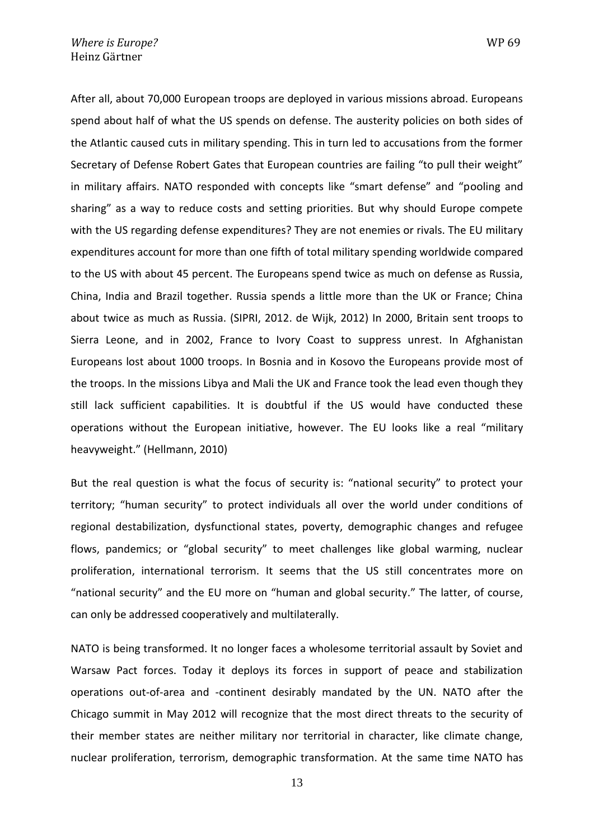After all, about 70,000 European troops are deployed in various missions abroad. Europeans spend about half of what the US spends on defense. The austerity policies on both sides of the Atlantic caused cuts in military spending. This in turn led to accusations from the former Secretary of Defense Robert Gates that European countries are failing "to pull their weight" in military affairs. NATO responded with concepts like "smart defense" and "pooling and sharing" as a way to reduce costs and setting priorities. But why should Europe compete with the US regarding defense expenditures? They are not enemies or rivals. The EU military expenditures account for more than one fifth of total military spending worldwide compared to the US with about 45 percent. The Europeans spend twice as much on defense as Russia, China, India and Brazil together. Russia spends a little more than the UK or France; China about twice as much as Russia. (SIPRI, 2012. de Wijk, 2012) In 2000, Britain sent troops to Sierra Leone, and in 2002, France to Ivory Coast to suppress unrest. In Afghanistan Europeans lost about 1000 troops. In Bosnia and in Kosovo the Europeans provide most of the troops. In the missions Libya and Mali the UK and France took the lead even though they still lack sufficient capabilities. It is doubtful if the US would have conducted these operations without the European initiative, however. The EU looks like a real "military heavyweight." (Hellmann, 2010)

But the real question is what the focus of security is: "national security" to protect your territory; "human security" to protect individuals all over the world under conditions of regional destabilization, dysfunctional states, poverty, demographic changes and refugee flows, pandemics; or "global security" to meet challenges like global warming, nuclear proliferation, international terrorism. It seems that the US still concentrates more on "national security" and the EU more on "human and global security." The latter, of course, can only be addressed cooperatively and multilaterally.

NATO is being transformed. It no longer faces a wholesome territorial assault by Soviet and Warsaw Pact forces. Today it deploys its forces in support of peace and stabilization operations out-of-area and -continent desirably mandated by the UN. NATO after the Chicago summit in May 2012 will recognize that the most direct threats to the security of their member states are neither military nor territorial in character, like climate change, nuclear proliferation, terrorism, demographic transformation. At the same time NATO has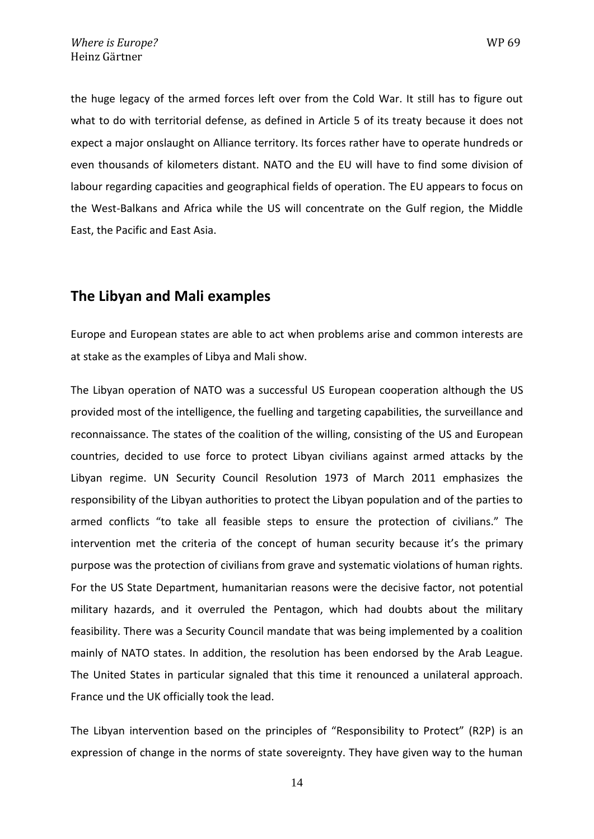the huge legacy of the armed forces left over from the Cold War. It still has to figure out what to do with territorial defense, as defined in Article 5 of its treaty because it does not expect a major onslaught on Alliance territory. Its forces rather have to operate hundreds or even thousands of kilometers distant. NATO and the EU will have to find some division of labour regarding capacities and geographical fields of operation. The EU appears to focus on the West-Balkans and Africa while the US will concentrate on the Gulf region, the Middle East, the Pacific and East Asia.

#### **The Libyan and Mali examples**

Europe and European states are able to act when problems arise and common interests are at stake as the examples of Libya and Mali show.

The Libyan operation of NATO was a successful US European cooperation although the US provided most of the intelligence, the fuelling and targeting capabilities, the surveillance and [reconnaissance](http://www.dict.cc/englisch-deutsch/reconnaissance.html). The states of the coalition of the willing, consisting of the US and European countries, decided to use force to protect Libyan civilians against armed attacks by the Libyan regime. UN Security Council Resolution 1973 of March 2011 emphasizes the responsibility of the Libyan authorities to protect the Libyan population and of the parties to armed conflicts "to take all feasible steps to ensure the protection of civilians." The intervention met the criteria of the concept of human security because it's the primary purpose was the protection of civilians from grave and systematic violations of human rights. For the US State Department, humanitarian reasons were the decisive factor, not potential military hazards, and it overruled the Pentagon, which had doubts about the military feasibility. There was a Security Council mandate that was being implemented by a coalition mainly of NATO states. In addition, the resolution has been endorsed by the Arab League. The United States in particular signaled that this time it renounced a unilateral approach. France und the UK officially took the lead.

The Libyan intervention based on the principles of "Responsibility to Protect" (R2P) is an expression of change in the norms of state sovereignty. They have given way to the human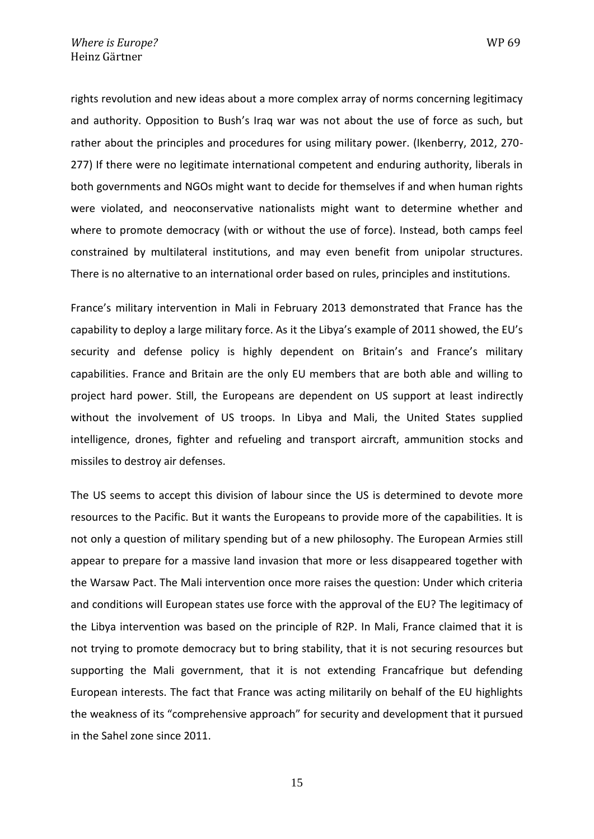rights revolution and new ideas about a more complex array of norms concerning legitimacy and authority. Opposition to Bush's Iraq war was not about the use of force as such, but rather about the principles and procedures for using military power. (Ikenberry, 2012, 270- 277) If there were no legitimate international competent and enduring authority, liberals in both governments and NGOs might want to decide for themselves if and when human rights were violated, and neoconservative nationalists might want to determine whether and where to promote democracy (with or without the use of force). Instead, both camps feel constrained by multilateral institutions, and may even benefit from unipolar structures. There is no alternative to an international order based on rules, principles and institutions.

France's military intervention in Mali in February 2013 demonstrated that France has the capability to deploy a large military force. As it the Libya's example of 2011 showed, the EU's security and defense policy is highly dependent on Britain's and France's military capabilities. France and Britain are the only EU members that are both able and willing to project hard power. Still, the Europeans are dependent on US support at least indirectly without the involvement of US troops. In Libya and Mali, the United States supplied intelligence, drones, fighter and refueling and transport aircraft, ammunition stocks and missiles to destroy air defenses.

The US seems to accept this division of labour since the US is determined to devote more resources to the Pacific. But it wants the Europeans to provide more of the capabilities. It is not only a question of military spending but of a new philosophy. The European Armies still appear to prepare for a massive land invasion that more or less disappeared together with the Warsaw Pact. The Mali intervention once more raises the question: Under which criteria and conditions will European states use force with the approval of the EU? The legitimacy of the Libya intervention was based on the principle of R2P. In Mali, France claimed that it is not trying to promote democracy but to bring stability, that it is not securing resources but supporting the Mali government, that it is not extending Francafrique but defending European interests. The fact that France was acting militarily on behalf of the EU highlights the weakness of its "comprehensive approach" for security and development that it pursued in the Sahel zone since 2011.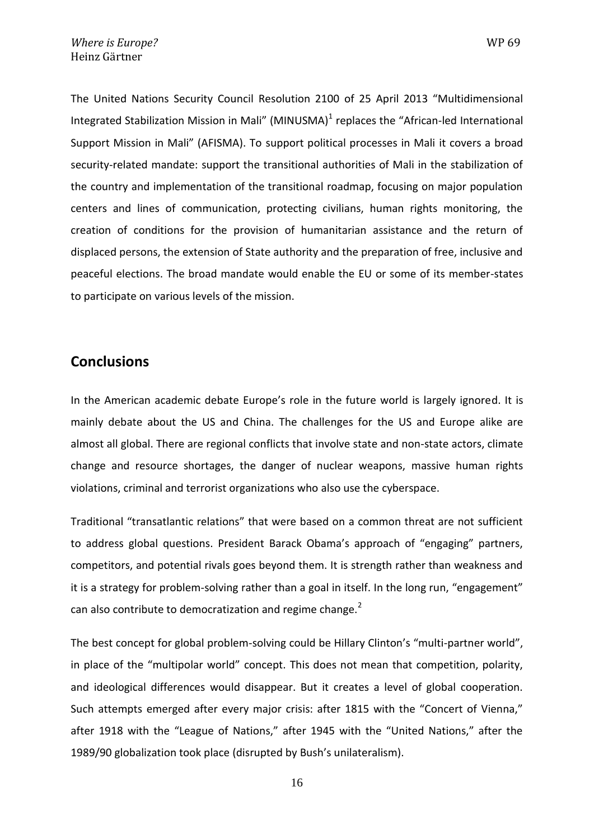The United Nations Security Council [Resolution 2100](http://www.un.org/en/peacekeeping/missions/minusma/documents/mali%20_2100_E_.pdf) of 25 April 2013 "Multidimensional Integrated Stabilization Mission in Mali" (MINUSMA) $^1$  replaces the "African-led International Support Mission in Mali" (AFISMA). To support political processes in Mali it covers a broad security-related mandate: support the transitional authorities of Mali in the stabilization of the country and implementation of the transitional roadmap, focusing on major population centers and lines of communication, protecting civilians, human rights monitoring, the creation of conditions for the provision of humanitarian assistance and the return of displaced persons, the extension of State authority and the preparation of free, inclusive and peaceful elections. The broad mandate would enable the EU or some of its member-states to participate on various levels of the mission.

#### **Conclusions**

In the American academic debate Europe's role in the future world is largely ignored. It is mainly debate about the US and China. The challenges for the US and Europe alike are almost all global. There are regional conflicts that involve state and non-state actors, climate change and resource shortages, the danger of nuclear weapons, massive human rights violations, criminal and terrorist organizations who also use the cyberspace.

Traditional "transatlantic relations" that were based on a common threat are not sufficient to address global questions. President Barack Obama's approach of "engaging" partners, competitors, and potential rivals goes beyond them. It is strength rather than weakness and it is a strategy for problem-solving rather than a goal in itself. In the long run, "engagement" can also contribute to democratization and regime change.<sup>2</sup>

The best concept for global problem-solving could be Hillary Clinton's "multi-partner world", in place of the "multipolar world" concept. This does not mean that competition, polarity, and ideological differences would disappear. But it creates a level of global cooperation. Such attempts emerged after every major crisis: after 1815 with the "Concert of Vienna," after 1918 with the "League of Nations," after 1945 with the "United Nations," after the 1989/90 globalization took place (disrupted by Bush's unilateralism).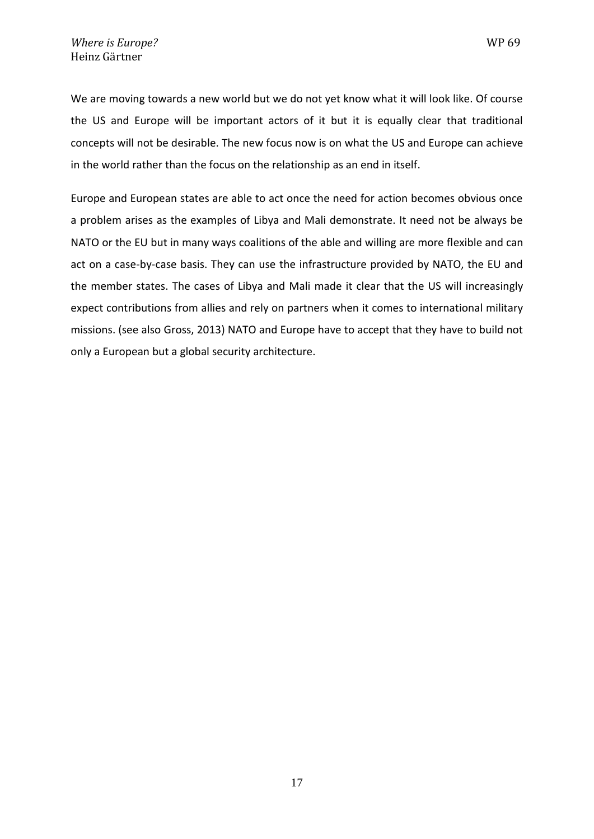We are moving towards a new world but we do not yet know what it will look like. Of course the US and Europe will be important actors of it but it is equally clear that traditional concepts will not be desirable. The new focus now is on what the US and Europe can achieve in the world rather than the focus on the relationship as an end in itself.

Europe and European states are able to act once the need for action becomes obvious once a problem arises as the examples of Libya and Mali demonstrate. It need not be always be NATO or the EU but in many ways coalitions of the able and willing are more flexible and can act on a case-by-case basis. They can use the infrastructure provided by NATO, the EU and the member states. The cases of Libya and Mali made it clear that the US will increasingly expect contributions from allies and rely on partners when it comes to international military missions. (see also Gross, 2013) NATO and Europe have to accept that they have to build not only a European but a global security architecture.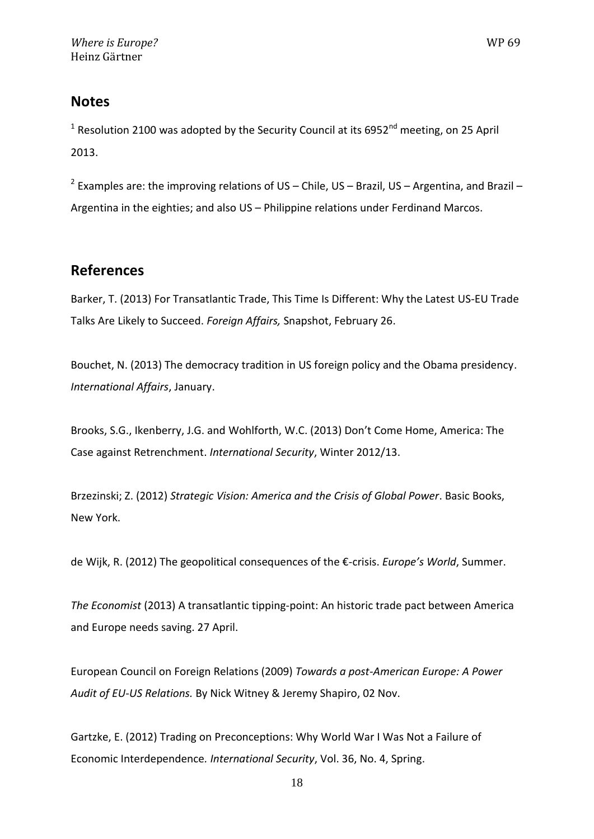#### **Notes**

<sup>1</sup> Resolution 2100 was adopted by the Security Council at its 6952<sup>nd</sup> meeting, on 25 April 2013.

<sup>2</sup> Examples are: the improving relations of US – Chile, US – Brazil, US – Argentina, and Brazil – Argentina in the eighties; and also US – Philippine relations under Ferdinand Marcos.

#### **References**

Barker, T. (2013) For Transatlantic Trade, This Time Is Different: Why the Latest US-EU Trade Talks Are Likely to Succeed. *Foreign Affairs,* Snapshot, February 26.

Bouchet, N. (2013) The democracy tradition in US foreign policy and the Obama presidency. *International Affairs*, January.

Brooks, S.G., Ikenberry, J.G. and Wohlforth, W.C. (2013) Don't Come Home, America: The Case against Retrenchment. *International Security*, Winter 2012/13.

Brzezinski; Z. (2012) *Strategic Vision: America and the Crisis of Global Power*. Basic Books, New York.

de Wijk, R. (2012) The geopolitical consequences of the €-crisis. *Europe's World*, Summer.

*The Economist* (2013) A transatlantic tipping-point: An historic trade pact between America and Europe needs saving. 27 April.

European Council on Foreign Relations (2009) *[Towards a post-American Europe: A Power](http://ecfr.eu/content/entry/towards_a_post-american_europe_a_power_audit_of_eu-us_relations_shapir/)  Audit of EU-US Relations.* [By Nick Witney & Jeremy Shapiro,](http://ecfr.eu/content/entry/towards_a_post-american_europe_a_power_audit_of_eu-us_relations_shapir/) 02 Nov.

Gartzke, E. (2012) Trading on Preconceptions: Why World War I Was Not a Failure of Economic Interdependence*. International Security*, Vol. 36, No. 4, Spring.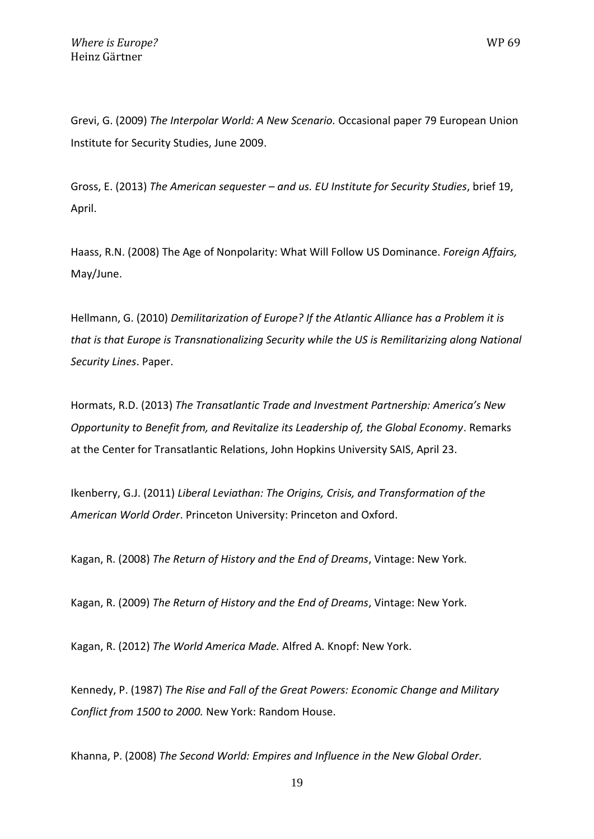Grevi, G. (2009) *The Interpolar World: A New Scenario.* Occasional paper 79 European Union Institute for Security Studies, June 2009.

Gross, E. (2013) *The American sequester – and us. EU Institute for Security Studies*, brief 19, April.

Haass, R.N. (2008) The Age of Nonpolarity: What Will Follow US Dominance. *Foreign Affairs,*  May/June.

Hellmann, G. (2010) *Demilitarization of Europe? If the Atlantic Alliance has a Problem it is that is that Europe is Transnationalizing Security while the US is Remilitarizing along National Security Lines*. Paper.

Hormats, R.D. (2013) *The Transatlantic Trade and Investment Partnership: America's New Opportunity to Benefit from, and Revitalize its Leadership of, the Global Economy*. Remarks at the Center for Transatlantic Relations, John Hopkins University SAIS, April 23.

Ikenberry, G.J. (2011) *Liberal Leviathan: The Origins, Crisis, and Transformation of the American World Order*. Princeton University: Princeton and Oxford.

Kagan, R. (2008) *The Return of History and the End of Dreams*, Vintage: New York.

Kagan, R. (2009) *The Return of History and the End of Dreams*, Vintage: New York.

Kagan, R. (2012) *The World America Made.* Alfred A. Knopf: New York.

Kennedy, P. (1987) *The Rise and Fall of the Great Powers: Economic Change and Military Conflict from 1500 to 2000.* New York: Random House.

Khanna, P. (2008) *The Second World: Empires and Influence in the New Global Order.*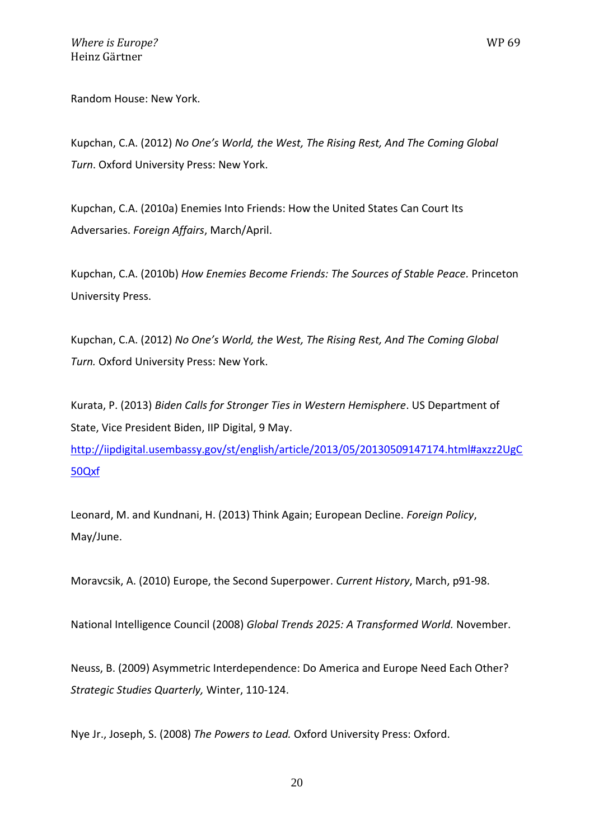Random House: New York.

Kupchan, C.A. (2012) *No One's World, the West, The Rising Rest, And The Coming Global Turn*. Oxford University Press: New York.

Kupchan, C.A. (2010a) Enemies Into Friends: How the United States Can Court Its Adversaries. *Foreign Affairs*, March/April.

Kupchan, C.A. (2010b) *How Enemies Become Friends: The Sources of Stable Peace.* Princeton University Press.

Kupchan, C.A. (2012) *No One's World, the West, The Rising Rest, And The Coming Global Turn.* Oxford University Press: New York.

Kurata, P. (2013) *Biden Calls for Stronger Ties in Western Hemisphere*. US Department of State, Vice President Biden, IIP Digital, 9 May.

[http://iipdigital.usembassy.gov/st/english/article/2013/05/20130509147174.html#axzz2UgC](http://iipdigital.usembassy.gov/st/english/article/2013/05/20130509147174.html#axzz2UgC50Qxf) [50Qxf](http://iipdigital.usembassy.gov/st/english/article/2013/05/20130509147174.html#axzz2UgC50Qxf)

Leonard, M. and Kundnani, H. (2013) Think Again; European Decline. *Foreign Policy*, May/June.

Moravcsik, A. (2010) Europe, the Second Superpower. *Current History*, March, p91-98.

National Intelligence Council (2008) *Global Trends 2025: A Transformed World.* November.

Neuss, B. (2009) Asymmetric Interdependence: Do America and Europe Need Each Other? *Strategic Studies Quarterly,* Winter, 110-124.

Nye Jr., Joseph, S. (2008) *The Powers to Lead.* Oxford University Press: Oxford.